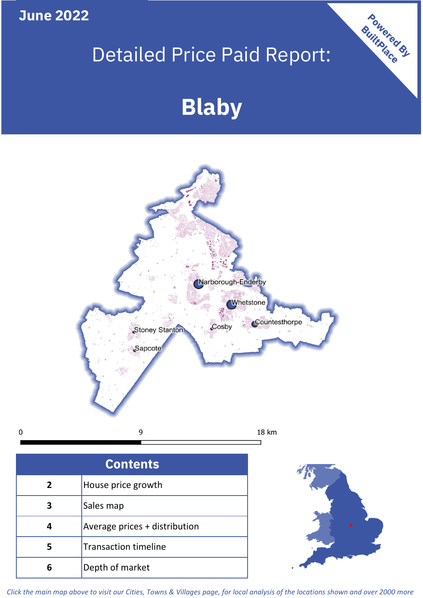**June 2022**

 $\mathbf 0$ 

# Detailed Price Paid Report:

# **Blaby**



| <b>Contents</b> |                               |  |  |
|-----------------|-------------------------------|--|--|
| $\overline{2}$  | House price growth            |  |  |
| 3               | Sales map                     |  |  |
|                 | Average prices + distribution |  |  |
| 5               | <b>Transaction timeline</b>   |  |  |
|                 | Depth of market               |  |  |



Powered By

*Click the main map above to visit our Cities, Towns & Villages page, for local analysis of the locations shown and over 2000 more*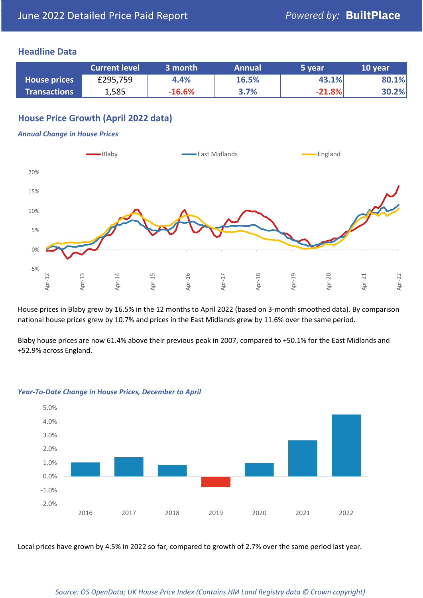## **Headline Data**

|                     | <b>Current level</b> | 3 month  | <b>Annual</b> | '5 vear. | 10 year |
|---------------------|----------------------|----------|---------------|----------|---------|
| <b>House prices</b> | £295,759             | 4.4%     | 16.5%         | 43.1%    | 80.1%   |
| <b>Transactions</b> | 1,585                | $-16.6%$ | 3.7%          | $-21.8%$ | 30.2%   |

# **House Price Growth (April 2022 data)**

#### *Annual Change in House Prices*



House prices in Blaby grew by 16.5% in the 12 months to April 2022 (based on 3-month smoothed data). By comparison national house prices grew by 10.7% and prices in the East Midlands grew by 11.6% over the same period.

Blaby house prices are now 61.4% above their previous peak in 2007, compared to +50.1% for the East Midlands and +52.9% across England.



#### *Year-To-Date Change in House Prices, December to April*

Local prices have grown by 4.5% in 2022 so far, compared to growth of 2.7% over the same period last year.

#### *Source: OS OpenData; UK House Price Index (Contains HM Land Registry data © Crown copyright)*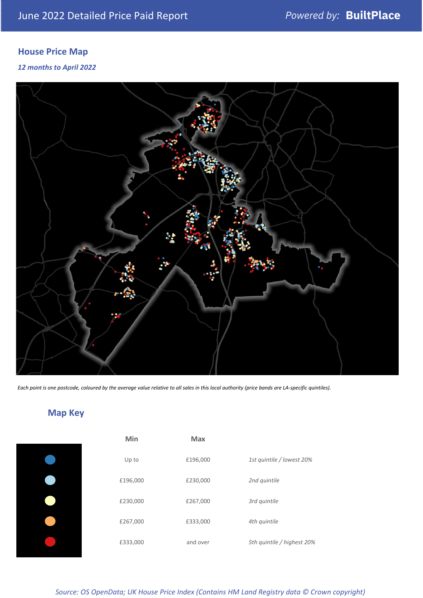# **House Price Map**

*12 months to April 2022*



*Each point is one postcode, coloured by the average value relative to all sales in this local authority (price bands are LA-specific quintiles).*

# **Map Key**

| Min      | <b>Max</b> |                            |
|----------|------------|----------------------------|
| Up to    | £196,000   | 1st quintile / lowest 20%  |
| £196,000 | £230,000   | 2nd quintile               |
| £230,000 | £267,000   | 3rd quintile               |
| £267,000 | £333,000   | 4th quintile               |
| £333,000 | and over   | 5th quintile / highest 20% |

*Source: OS OpenData; UK House Price Index (Contains HM Land Registry data © Crown copyright)*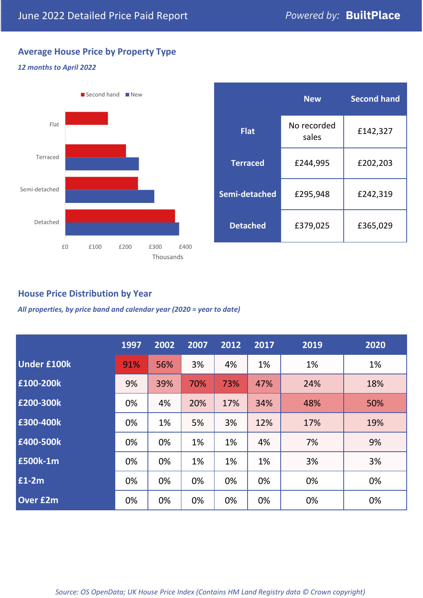# **Average House Price by Property Type**

# *12 months to April 2022*



|                 | <b>New</b>           | <b>Second hand</b> |  |
|-----------------|----------------------|--------------------|--|
| <b>Flat</b>     | No recorded<br>sales | £142,327           |  |
| <b>Terraced</b> | £244,995             | £202,203           |  |
| Semi-detached   | £295,948             | £242,319           |  |
| <b>Detached</b> | £379,025             | £365,029           |  |

# **House Price Distribution by Year**

*All properties, by price band and calendar year (2020 = year to date)*

|                    | 1997 | 2002 | 2007 | 2012 | 2017 | 2019 | 2020 |
|--------------------|------|------|------|------|------|------|------|
| <b>Under £100k</b> | 91%  | 56%  | 3%   | 4%   | 1%   | 1%   | 1%   |
| £100-200k          | 9%   | 39%  | 70%  | 73%  | 47%  | 24%  | 18%  |
| E200-300k          | 0%   | 4%   | 20%  | 17%  | 34%  | 48%  | 50%  |
| £300-400k          | 0%   | 1%   | 5%   | 3%   | 12%  | 17%  | 19%  |
| £400-500k          | 0%   | 0%   | 1%   | 1%   | 4%   | 7%   | 9%   |
| <b>£500k-1m</b>    | 0%   | 0%   | 1%   | 1%   | 1%   | 3%   | 3%   |
| $£1-2m$            | 0%   | 0%   | 0%   | 0%   | 0%   | 0%   | 0%   |
| <b>Over £2m</b>    | 0%   | 0%   | 0%   | 0%   | 0%   | 0%   | 0%   |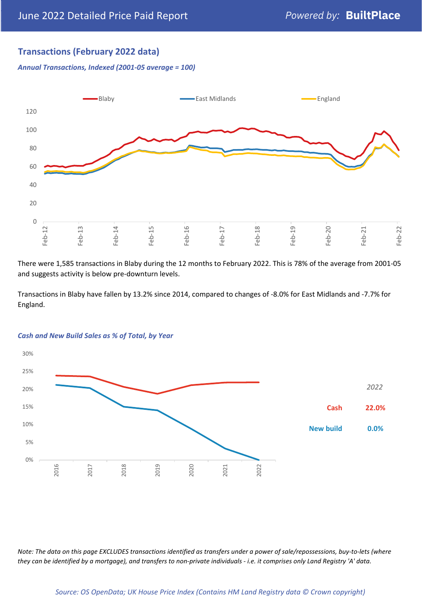# **Transactions (February 2022 data)**

*Annual Transactions, Indexed (2001-05 average = 100)*



There were 1,585 transactions in Blaby during the 12 months to February 2022. This is 78% of the average from 2001-05 and suggests activity is below pre-downturn levels.

Transactions in Blaby have fallen by 13.2% since 2014, compared to changes of -8.0% for East Midlands and -7.7% for England.



#### *Cash and New Build Sales as % of Total, by Year*

*Note: The data on this page EXCLUDES transactions identified as transfers under a power of sale/repossessions, buy-to-lets (where they can be identified by a mortgage), and transfers to non-private individuals - i.e. it comprises only Land Registry 'A' data.*